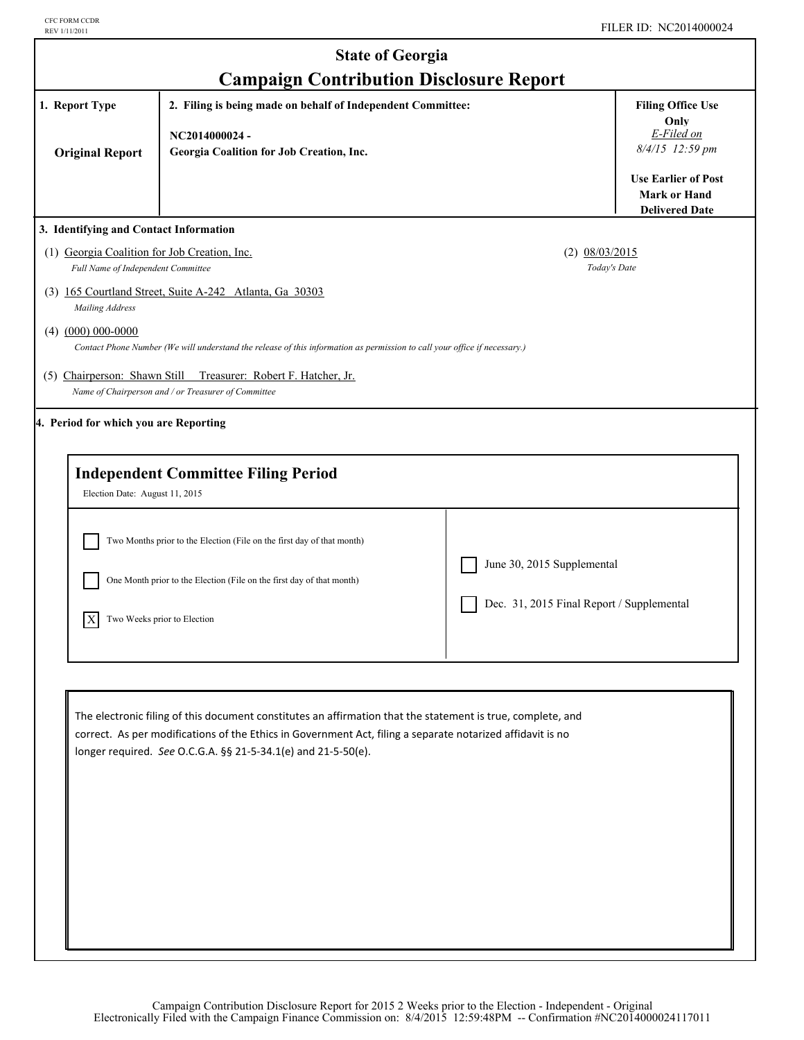| <b>State of Georgia</b>                                                                                                         |                                                                                                                                                                                                                                                                                            |                                           |                                                                                                             |  |
|---------------------------------------------------------------------------------------------------------------------------------|--------------------------------------------------------------------------------------------------------------------------------------------------------------------------------------------------------------------------------------------------------------------------------------------|-------------------------------------------|-------------------------------------------------------------------------------------------------------------|--|
| <b>Campaign Contribution Disclosure Report</b><br>1. Report Type<br>2. Filing is being made on behalf of Independent Committee: |                                                                                                                                                                                                                                                                                            |                                           | <b>Filing Office Use</b><br>Only                                                                            |  |
| <b>Original Report</b>                                                                                                          | NC2014000024-<br>Georgia Coalition for Job Creation, Inc.                                                                                                                                                                                                                                  |                                           | E-Filed on<br>8/4/15 12:59 pm<br><b>Use Earlier of Post</b><br><b>Mark or Hand</b><br><b>Delivered Date</b> |  |
| 3. Identifying and Contact Information                                                                                          |                                                                                                                                                                                                                                                                                            |                                           |                                                                                                             |  |
| (1) Georgia Coalition for Job Creation, Inc.<br>Full Name of Independent Committee                                              |                                                                                                                                                                                                                                                                                            | $(2)$ 08/03/2015<br>Today's Date          |                                                                                                             |  |
| Mailing Address                                                                                                                 | (3) 165 Courtland Street, Suite A-242 Atlanta, Ga 30303                                                                                                                                                                                                                                    |                                           |                                                                                                             |  |
| $(4)$ $(000)$ 000-0000                                                                                                          | Contact Phone Number (We will understand the release of this information as permission to call your office if necessary.)                                                                                                                                                                  |                                           |                                                                                                             |  |
| (5) Chairperson: Shawn Still                                                                                                    | Treasurer: Robert F. Hatcher, Jr.<br>Name of Chairperson and / or Treasurer of Committee                                                                                                                                                                                                   |                                           |                                                                                                             |  |
| 4. Period for which you are Reporting                                                                                           |                                                                                                                                                                                                                                                                                            |                                           |                                                                                                             |  |
| Election Date: August 11, 2015                                                                                                  | <b>Independent Committee Filing Period</b>                                                                                                                                                                                                                                                 |                                           |                                                                                                             |  |
|                                                                                                                                 | Two Months prior to the Election (File on the first day of that month)                                                                                                                                                                                                                     |                                           |                                                                                                             |  |
|                                                                                                                                 | One Month prior to the Election (File on the first day of that month)                                                                                                                                                                                                                      | June 30, 2015 Supplemental                |                                                                                                             |  |
| X                                                                                                                               | Two Weeks prior to Election                                                                                                                                                                                                                                                                | Dec. 31, 2015 Final Report / Supplemental |                                                                                                             |  |
|                                                                                                                                 |                                                                                                                                                                                                                                                                                            |                                           |                                                                                                             |  |
|                                                                                                                                 | The electronic filing of this document constitutes an affirmation that the statement is true, complete, and<br>correct. As per modifications of the Ethics in Government Act, filing a separate notarized affidavit is no<br>longer required. See O.C.G.A. §§ 21-5-34.1(e) and 21-5-50(e). |                                           |                                                                                                             |  |
|                                                                                                                                 |                                                                                                                                                                                                                                                                                            |                                           |                                                                                                             |  |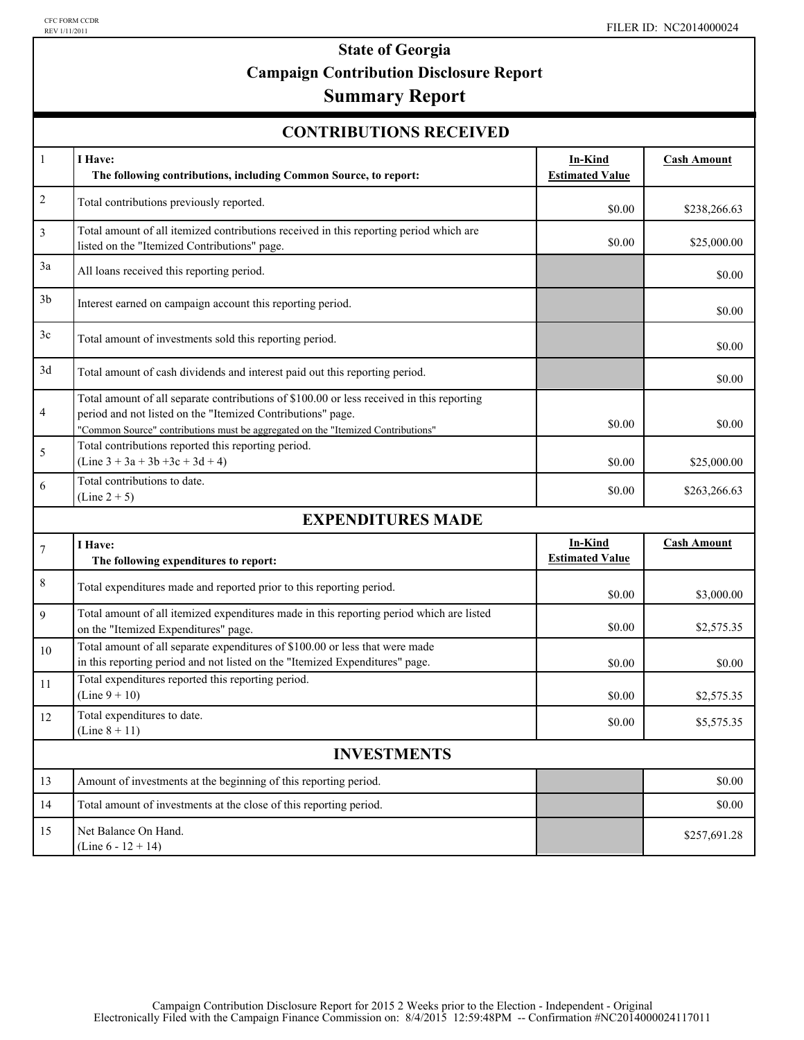## **State of Georgia Campaign Contribution Disclosure Report**

## **Summary Report**

| <b>CONTRIBUTIONS RECEIVED</b> |  |
|-------------------------------|--|
|-------------------------------|--|

| $\mathbf{1}$       | I Have:<br>The following contributions, including Common Source, to report:                                                                                                                                                                  | <b>In-Kind</b><br><b>Estimated Value</b> | <b>Cash Amount</b> |  |
|--------------------|----------------------------------------------------------------------------------------------------------------------------------------------------------------------------------------------------------------------------------------------|------------------------------------------|--------------------|--|
| $\overline{c}$     | Total contributions previously reported.                                                                                                                                                                                                     | \$0.00                                   | \$238,266.63       |  |
| 3                  | Total amount of all itemized contributions received in this reporting period which are<br>listed on the "Itemized Contributions" page.                                                                                                       | \$0.00                                   | \$25,000.00        |  |
| 3a                 | All loans received this reporting period.                                                                                                                                                                                                    |                                          | \$0.00             |  |
| 3 <sub>b</sub>     | Interest earned on campaign account this reporting period.                                                                                                                                                                                   |                                          | \$0.00             |  |
| 3c                 | Total amount of investments sold this reporting period.                                                                                                                                                                                      |                                          | \$0.00             |  |
| 3d                 | Total amount of cash dividends and interest paid out this reporting period.                                                                                                                                                                  |                                          | \$0.00             |  |
| 4                  | Total amount of all separate contributions of \$100.00 or less received in this reporting<br>period and not listed on the "Itemized Contributions" page.<br>"Common Source" contributions must be aggregated on the "Itemized Contributions" | \$0.00                                   | \$0.00             |  |
| 5                  | Total contributions reported this reporting period.<br>$(Line 3 + 3a + 3b + 3c + 3d + 4)$                                                                                                                                                    | \$0.00                                   | \$25,000.00        |  |
| 6                  | Total contributions to date.<br>$(Line 2 + 5)$                                                                                                                                                                                               | \$0.00                                   | \$263,266.63       |  |
|                    | <b>EXPENDITURES MADE</b>                                                                                                                                                                                                                     |                                          |                    |  |
| $\tau$             | I Have:<br>The following expenditures to report:                                                                                                                                                                                             | In-Kind<br><b>Estimated Value</b>        | <b>Cash Amount</b> |  |
| 8                  | Total expenditures made and reported prior to this reporting period.                                                                                                                                                                         | \$0.00                                   | \$3,000.00         |  |
| 9                  | Total amount of all itemized expenditures made in this reporting period which are listed<br>on the "Itemized Expenditures" page.                                                                                                             | \$0.00                                   | \$2,575.35         |  |
| 10                 | Total amount of all separate expenditures of \$100.00 or less that were made<br>in this reporting period and not listed on the "Itemized Expenditures" page.                                                                                 | \$0.00                                   | \$0.00             |  |
| 11                 | Total expenditures reported this reporting period.<br>$(Line 9 + 10)$                                                                                                                                                                        | \$0.00                                   | \$2,575.35         |  |
| 12                 | Total expenditures to date.<br>$(Line 8 + 11)$                                                                                                                                                                                               | \$0.00                                   | \$5,575.35         |  |
| <b>INVESTMENTS</b> |                                                                                                                                                                                                                                              |                                          |                    |  |
| 13                 | Amount of investments at the beginning of this reporting period.                                                                                                                                                                             |                                          | \$0.00             |  |
| 14                 | Total amount of investments at the close of this reporting period.                                                                                                                                                                           |                                          | \$0.00             |  |
| 15                 | Net Balance On Hand.<br>(Line $6 - 12 + 14$ )                                                                                                                                                                                                |                                          | \$257,691.28       |  |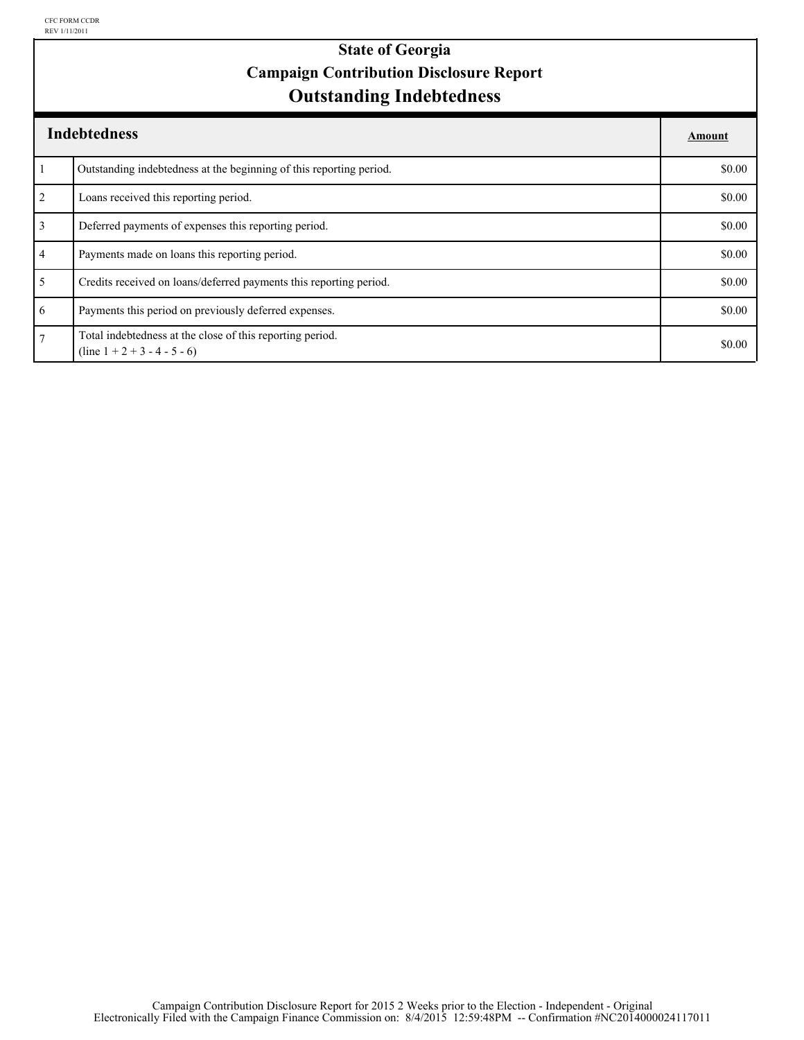### **Outstanding Indebtedness State of Georgia Campaign Contribution Disclosure Report**

|                | <b>Indebtedness</b>                                                                         | Amount |
|----------------|---------------------------------------------------------------------------------------------|--------|
|                | Outstanding indebtedness at the beginning of this reporting period.                         | \$0.00 |
| $\overline{2}$ | Loans received this reporting period.                                                       | \$0.00 |
| $\overline{3}$ | Deferred payments of expenses this reporting period.                                        | \$0.00 |
| $\overline{4}$ | Payments made on loans this reporting period.                                               | \$0.00 |
| 5              | Credits received on loans/deferred payments this reporting period.                          | \$0.00 |
| 6              | Payments this period on previously deferred expenses.                                       | \$0.00 |
| $\overline{7}$ | Total indebtedness at the close of this reporting period.<br>$(line 1 + 2 + 3 - 4 - 5 - 6)$ | \$0.00 |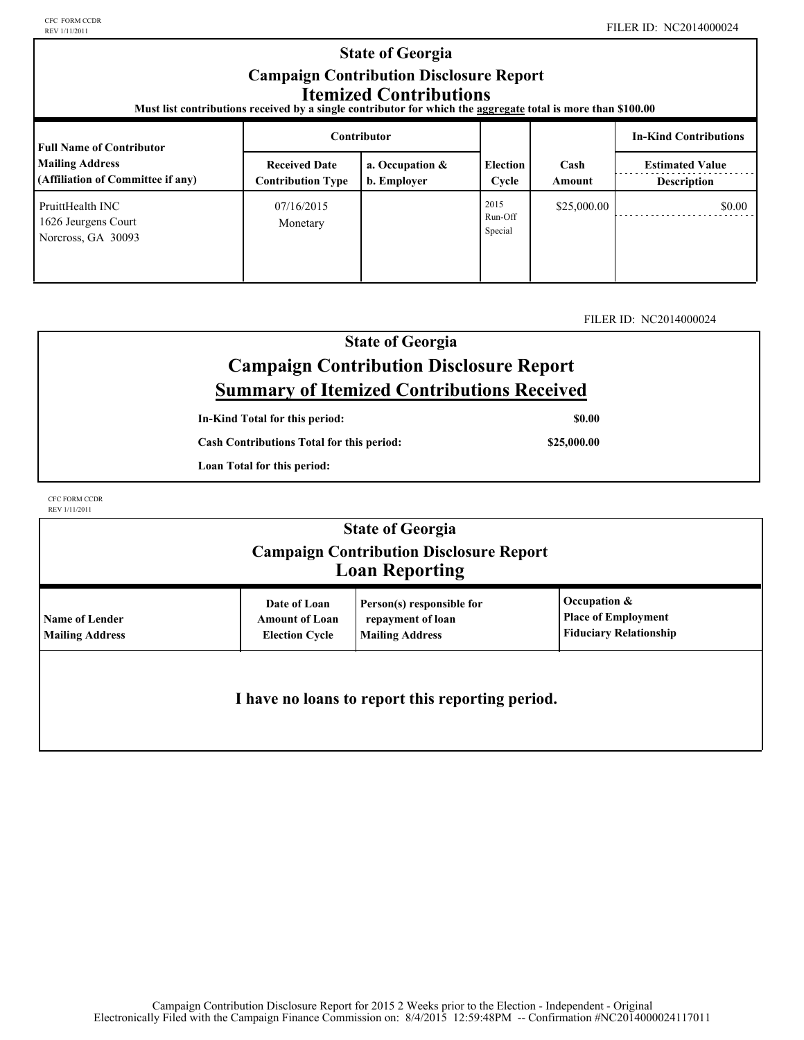#### **Election Cycle Estimated Value Contributor In-Kind Contributions Full Name of Contributor Mailing Address (Affiliation of Committee if any) Received Date Contribution Type a. Occupation & b. Employer** | Cycle | Amount | Description **Cash Amount State of Georgia Campaign Contribution Disclosure Report Itemized Contributions Must list contributions received by a single contributor for which the aggregate total is more than \$100.00**  07/16/2015 Run-Off Special  $$25,000.00$  \$0.00 Monetary PruittHealth INC 1626 Jeurgens Court Norcross, GA 30093 2015

### FILER ID: NC2014000024

### **State of Georgia Campaign Contribution Disclosure Report Summary of Itemized Contributions Received**

**In-Kind Total for this period:**

**Cash Contributions Total for this period:**

**Loan Total for this period:**

CFC FORM CCDR REV 1/11/2011

|                                                 |                                                                | <b>State of Georgia</b><br><b>Campaign Contribution Disclosure Report</b><br><b>Loan Reporting</b> |                                                                             |
|-------------------------------------------------|----------------------------------------------------------------|----------------------------------------------------------------------------------------------------|-----------------------------------------------------------------------------|
| <b>Name of Lender</b><br><b>Mailing Address</b> | Date of Loan<br><b>Amount of Loan</b><br><b>Election Cycle</b> | Person(s) responsible for<br>repayment of loan<br><b>Mailing Address</b>                           | Occupation &<br><b>Place of Employment</b><br><b>Fiduciary Relationship</b> |
|                                                 |                                                                | I have no loans to report this reporting period.                                                   |                                                                             |

**\$25,000.00**

**\$0.00**